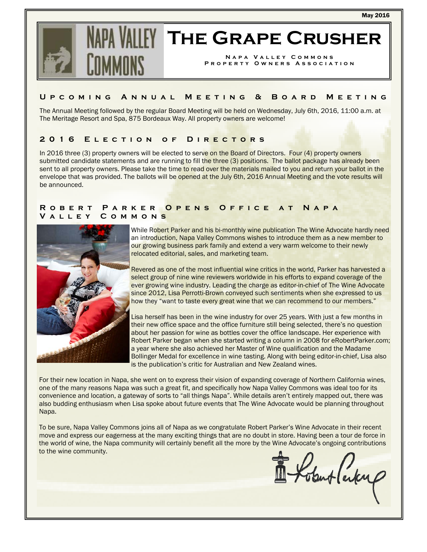May 2016



# **The Grape Crusher**

**Napa Valley Commons Property Owners Association** 

## **Upcoming Annual Meeting & Board Meeting**

The Annual Meeting followed by the regular Board Meeting will be held on Wednesday, July 6th, 2016, 11:00 a.m. at The Meritage Resort and Spa, 875 Bordeaux Way. All property owners are welcome!

# **2016 Election of Directors**

In 2016 three (3) property owners will be elected to serve on the Board of Directors. Four (4) property owners submitted candidate statements and are running to fill the three (3) positions. The ballot package has already been sent to all property owners. Please take the time to read over the materials mailed to you and return your ballot in the envelope that was provided. The ballots will be opened at the July 6th, 2016 Annual Meeting and the vote results will be announced.

#### **Robert Parker Opens Office at Napa Valley Commons**



While Robert Parker and his bi-monthly wine publication The Wine Advocate hardly need an introduction, Napa Valley Commons wishes to introduce them as a new member to our growing business park family and extend a very warm welcome to their newly relocated editorial, sales, and marketing team.

Revered as one of the most influential wine critics in the world, Parker has harvested a select group of nine wine reviewers worldwide in his efforts to expand coverage of the ever growing wine industry. Leading the charge as editor-in-chief of The Wine Advocate since 2012, Lisa Perrotti-Brown conveyed such sentiments when she expressed to us how they "want to taste every great wine that we can recommend to our members."

Lisa herself has been in the wine industry for over 25 years. With just a few months in their new office space and the office furniture still being selected, there's no question about her passion for wine as bottles cover the office landscape. Her experience with Robert Parker began when she started writing a column in 2008 for eRobertParker.com; a year where she also achieved her Master of Wine qualification and the Madame Bollinger Medal for excellence in wine tasting. Along with being editor-in-chief, Lisa also is the publication's critic for Australian and New Zealand wines.

For their new location in Napa, she went on to express their vision of expanding coverage of Northern California wines, one of the many reasons Napa was such a great fit, and specifically how Napa Valley Commons was ideal too for its convenience and location, a gateway of sorts to "all things Napa". While details aren't entirely mapped out, there was also budding enthusiasm when Lisa spoke about future events that The Wine Advocate would be planning throughout Napa.

To be sure, Napa Valley Commons joins all of Napa as we congratulate Robert Parker's Wine Advocate in their recent move and express our eagerness at the many exciting things that are no doubt in store. Having been a tour de force in the world of wine, the Napa community will certainly benefit all the more by the Wine Advocate's ongoing contributions to the wine community.

Kokut larker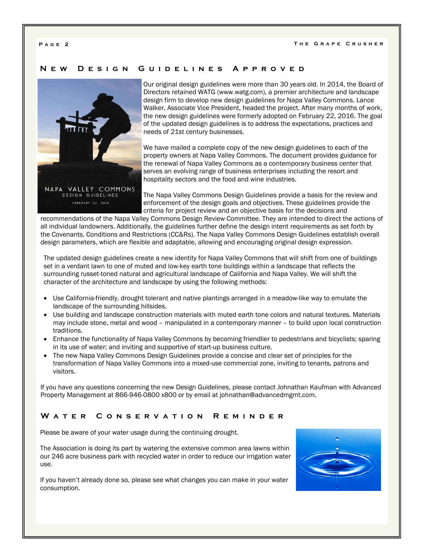#### **New Design Guidelines Approved**



Our original design guidelines were more than 30 years old. In 2014, the Board of Directors retained WATG (www.watg.com), a premier architecture and landscape design firm to develop new design guidelines for Napa Valley Commons. Lance Walker, Associate Vice President, headed the project. After many months of work, the new design guidelines were formerly adopted on February 22, 2016. The goal of the updated design guidelines is to address the expectations, practices and needs of 21st century businesses.

We have mailed a complete copy of the new design guidelines to each of the property owners at Napa Valley Commons. The document provides guidance for the renewal of Napa Valley Commons as a contemporary business center that serves an evolving range of business enterprises including the resort and hospitality sectors and the food and wine industries.

The Napa Valley Commons Design Guidelines provide a basis for the review and enforcement of the design goals and objectives. These guidelines provide the criteria for project review and an objective basis for the decisions and

recommendations of the Napa Valley Commons Design Review Committee. They are intended to direct the actions of all individual landowners. Additionally, the guidelines further define the design intent requirements as set forth by the Covenants, Conditions and Restrictions (CC&Rs). The Napa Valley Commons Design Guidelines establish overall design parameters, which are flexible and adaptable, allowing and encouraging original design expression.

The updated design guidelines create a new identity for Napa Valley Commons that will shift from one of buildings set in a verdant lawn to one of muted and low-key earth tone buildings within a landscape that reflects the surrounding russet-toned natural and agricultural landscape of California and Napa Valley. We will shift the character of the architecture and landscape by using the following methods:

- Use California-friendly, drought tolerant and native plantings arranged in a meadow-like way to emulate the landscape of the surrounding hillsides.
- Use building and landscape construction materials with muted earth tone colors and natural textures. Materials may include stone, metal and wood – manipulated in a contemporary manner – to build upon local construction traditions.
- Enhance the functionality of Napa Valley Commons by becoming friendlier to pedestrians and bicyclists; sparing in its use of water; and inviting and supportive of start-up business culture.
- The new Napa Valley Commons Design Guidelines provide a concise and clear set of principles for the transformation of Napa Valley Commons into a mixed-use commercial zone, inviting to tenants, patrons and visitors.

If you have any questions concerning the new Design Guidelines, please contact Johnathan Kaufman with Advanced Property Management at 866-946-0800 x800 or by email at johnathan@advancedmgmt.com.

## **Water Conservation Reminder**

Please be aware of your water usage during the continuing drought.

The Association is doing its part by watering the extensive common area lawns within our 246 acre business park with recycled water in order to reduce our irrigation water use.

If you haven't already done so, please see what changes you can make in your water consumption.

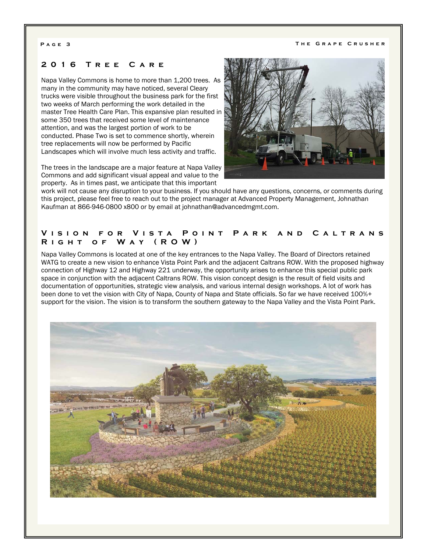#### **2016 Tree Care**

Napa Valley Commons is home to more than 1,200 trees. As many in the community may have noticed, several Cleary trucks were visible throughout the business park for the first two weeks of March performing the work detailed in the master Tree Health Care Plan. This expansive plan resulted in some 350 trees that received some level of maintenance attention, and was the largest portion of work to be conducted. Phase Two is set to commence shortly, wherein tree replacements will now be performed by Pacific Landscapes which will involve much less activity and traffic.

The trees in the landscape are a major feature at Napa Valley Commons and add significant visual appeal and value to the property. As in times past, we anticipate that this important



work will not cause any disruption to your business. If you should have any questions, concerns, or comments during this project, please feel free to reach out to the project manager at Advanced Property Management, Johnathan Kaufman at 866-946-0800 x800 or by email at johnathan@advancedmgmt.com.

## **Vision for Vista Point Park and Caltrans Right of Way (ROW)**

Napa Valley Commons is located at one of the key entrances to the Napa Valley. The Board of Directors retained WATG to create a new vision to enhance Vista Point Park and the adjacent Caltrans ROW. With the proposed highway connection of Highway 12 and Highway 221 underway, the opportunity arises to enhance this special public park space in conjunction with the adjacent Caltrans ROW. This vision concept design is the result of field visits and documentation of opportunities, strategic view analysis, and various internal design workshops. A lot of work has been done to vet the vision with City of Napa, County of Napa and State officials. So far we have received 100%+ support for the vision. The vision is to transform the southern gateway to the Napa Valley and the Vista Point Park.